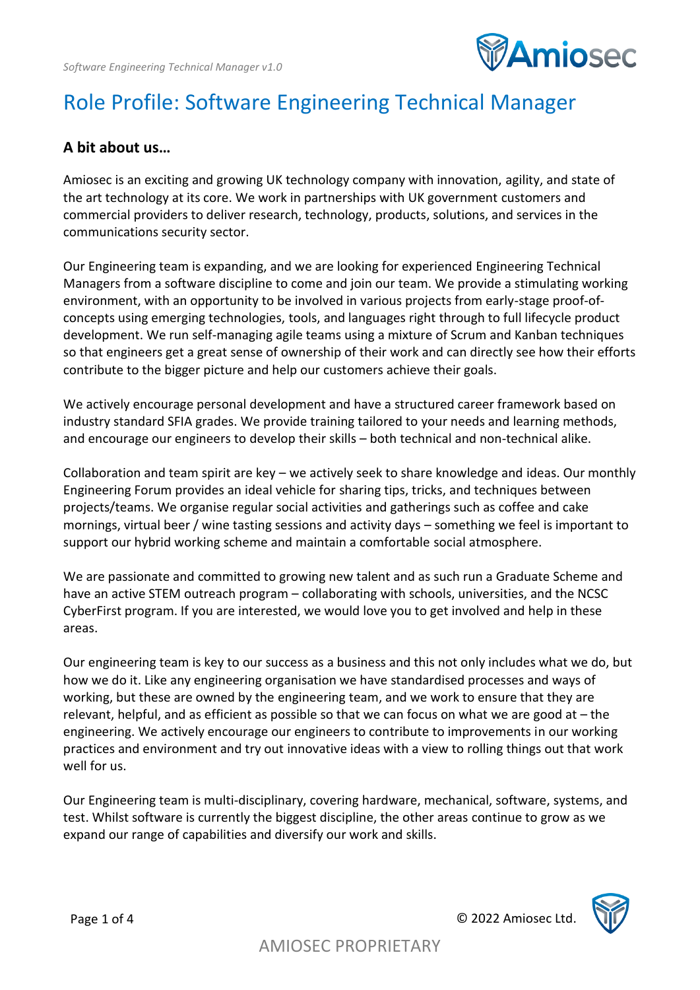

# Role Profile: Software Engineering Technical Manager

#### **A bit about us…**

Amiosec is an exciting and growing UK technology company with innovation, agility, and state of the art technology at its core. We work in partnerships with UK government customers and commercial providers to deliver research, technology, products, solutions, and services in the communications security sector.

Our Engineering team is expanding, and we are looking for experienced Engineering Technical Managers from a software discipline to come and join our team. We provide a stimulating working environment, with an opportunity to be involved in various projects from early-stage proof-ofconcepts using emerging technologies, tools, and languages right through to full lifecycle product development. We run self-managing agile teams using a mixture of Scrum and Kanban techniques so that engineers get a great sense of ownership of their work and can directly see how their efforts contribute to the bigger picture and help our customers achieve their goals.

We actively encourage personal development and have a structured career framework based on industry standard SFIA grades. We provide training tailored to your needs and learning methods, and encourage our engineers to develop their skills – both technical and non-technical alike.

Collaboration and team spirit are key – we actively seek to share knowledge and ideas. Our monthly Engineering Forum provides an ideal vehicle for sharing tips, tricks, and techniques between projects/teams. We organise regular social activities and gatherings such as coffee and cake mornings, virtual beer / wine tasting sessions and activity days – something we feel is important to support our hybrid working scheme and maintain a comfortable social atmosphere.

We are passionate and committed to growing new talent and as such run a Graduate Scheme and have an active STEM outreach program – collaborating with schools, universities, and the NCSC CyberFirst program. If you are interested, we would love you to get involved and help in these areas.

Our engineering team is key to our success as a business and this not only includes what we do, but how we do it. Like any engineering organisation we have standardised processes and ways of working, but these are owned by the engineering team, and we work to ensure that they are relevant, helpful, and as efficient as possible so that we can focus on what we are good at – the engineering. We actively encourage our engineers to contribute to improvements in our working practices and environment and try out innovative ideas with a view to rolling things out that work well for us.

Our Engineering team is multi-disciplinary, covering hardware, mechanical, software, systems, and test. Whilst software is currently the biggest discipline, the other areas continue to grow as we expand our range of capabilities and diversify our work and skills.

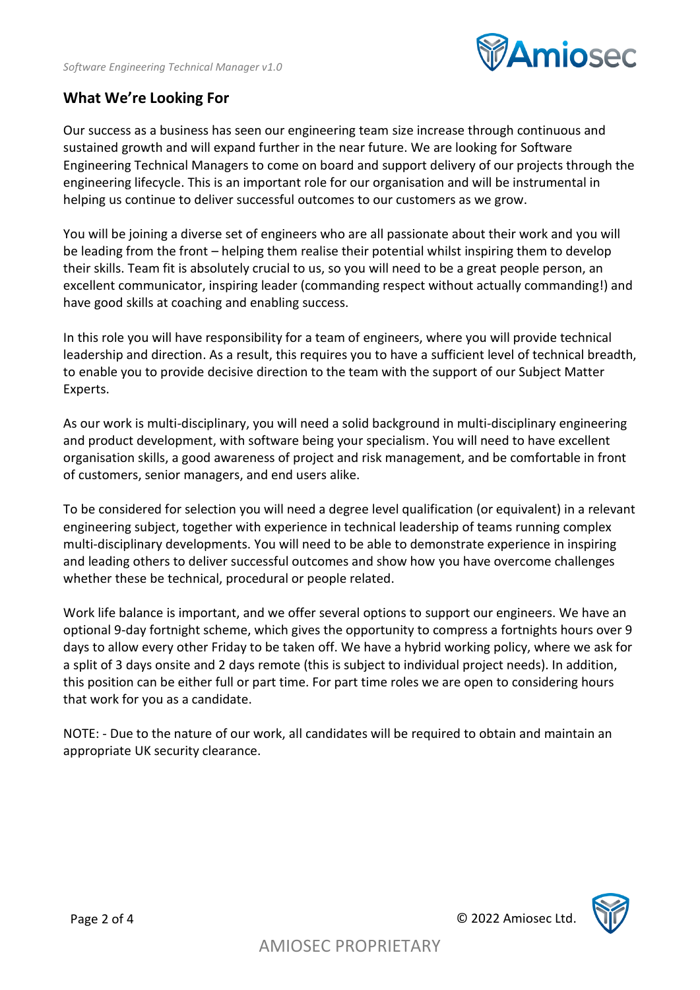

#### **What We're Looking For**

Our success as a business has seen our engineering team size increase through continuous and sustained growth and will expand further in the near future. We are looking for Software Engineering Technical Managers to come on board and support delivery of our projects through the engineering lifecycle. This is an important role for our organisation and will be instrumental in helping us continue to deliver successful outcomes to our customers as we grow.

You will be joining a diverse set of engineers who are all passionate about their work and you will be leading from the front – helping them realise their potential whilst inspiring them to develop their skills. Team fit is absolutely crucial to us, so you will need to be a great people person, an excellent communicator, inspiring leader (commanding respect without actually commanding!) and have good skills at coaching and enabling success.

In this role you will have responsibility for a team of engineers, where you will provide technical leadership and direction. As a result, this requires you to have a sufficient level of technical breadth, to enable you to provide decisive direction to the team with the support of our Subject Matter Experts.

As our work is multi-disciplinary, you will need a solid background in multi-disciplinary engineering and product development, with software being your specialism. You will need to have excellent organisation skills, a good awareness of project and risk management, and be comfortable in front of customers, senior managers, and end users alike.

To be considered for selection you will need a degree level qualification (or equivalent) in a relevant engineering subject, together with experience in technical leadership of teams running complex multi-disciplinary developments. You will need to be able to demonstrate experience in inspiring and leading others to deliver successful outcomes and show how you have overcome challenges whether these be technical, procedural or people related.

Work life balance is important, and we offer several options to support our engineers. We have an optional 9-day fortnight scheme, which gives the opportunity to compress a fortnights hours over 9 days to allow every other Friday to be taken off. We have a hybrid working policy, where we ask for a split of 3 days onsite and 2 days remote (this is subject to individual project needs). In addition, this position can be either full or part time. For part time roles we are open to considering hours that work for you as a candidate.

NOTE: - Due to the nature of our work, all candidates will be required to obtain and maintain an appropriate UK security clearance.

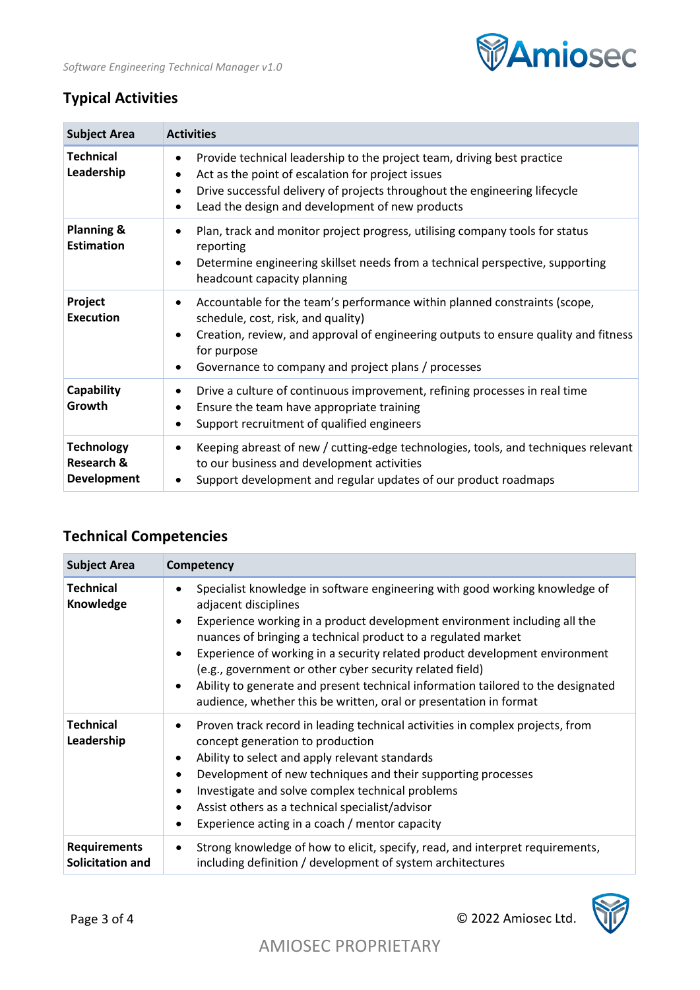

### **Typical Activities**

| <b>Subject Area</b>                                              | <b>Activities</b>                                                                                                                                                                                                                                                                    |
|------------------------------------------------------------------|--------------------------------------------------------------------------------------------------------------------------------------------------------------------------------------------------------------------------------------------------------------------------------------|
| <b>Technical</b><br>Leadership                                   | Provide technical leadership to the project team, driving best practice<br>٠<br>Act as the point of escalation for project issues<br>Drive successful delivery of projects throughout the engineering lifecycle<br>$\bullet$<br>Lead the design and development of new products<br>٠ |
| <b>Planning &amp;</b><br><b>Estimation</b>                       | Plan, track and monitor project progress, utilising company tools for status<br>$\bullet$<br>reporting<br>Determine engineering skillset needs from a technical perspective, supporting<br>headcount capacity planning                                                               |
| Project<br><b>Execution</b>                                      | Accountable for the team's performance within planned constraints (scope,<br>schedule, cost, risk, and quality)<br>Creation, review, and approval of engineering outputs to ensure quality and fitness<br>for purpose<br>Governance to company and project plans / processes         |
| Capability<br>Growth                                             | Drive a culture of continuous improvement, refining processes in real time<br>Ensure the team have appropriate training<br>Support recruitment of qualified engineers<br>٠                                                                                                           |
| <b>Technology</b><br><b>Research &amp;</b><br><b>Development</b> | Keeping abreast of new / cutting-edge technologies, tools, and techniques relevant<br>to our business and development activities<br>Support development and regular updates of our product roadmaps                                                                                  |

## **Technical Competencies**

| <b>Subject Area</b>                     | Competency                                                                                                                                                                                                                                                                                                                                                                                                                                                                                                                                            |
|-----------------------------------------|-------------------------------------------------------------------------------------------------------------------------------------------------------------------------------------------------------------------------------------------------------------------------------------------------------------------------------------------------------------------------------------------------------------------------------------------------------------------------------------------------------------------------------------------------------|
| <b>Technical</b><br>Knowledge           | Specialist knowledge in software engineering with good working knowledge of<br>adjacent disciplines<br>Experience working in a product development environment including all the<br>nuances of bringing a technical product to a regulated market<br>Experience of working in a security related product development environment<br>(e.g., government or other cyber security related field)<br>Ability to generate and present technical information tailored to the designated<br>audience, whether this be written, oral or presentation in format |
| <b>Technical</b><br>Leadership          | Proven track record in leading technical activities in complex projects, from<br>concept generation to production<br>Ability to select and apply relevant standards<br>Development of new techniques and their supporting processes<br>Investigate and solve complex technical problems<br>٠<br>Assist others as a technical specialist/advisor<br>٠<br>Experience acting in a coach / mentor capacity                                                                                                                                                |
| <b>Requirements</b><br>Solicitation and | Strong knowledge of how to elicit, specify, read, and interpret requirements,<br>٠<br>including definition / development of system architectures                                                                                                                                                                                                                                                                                                                                                                                                      |